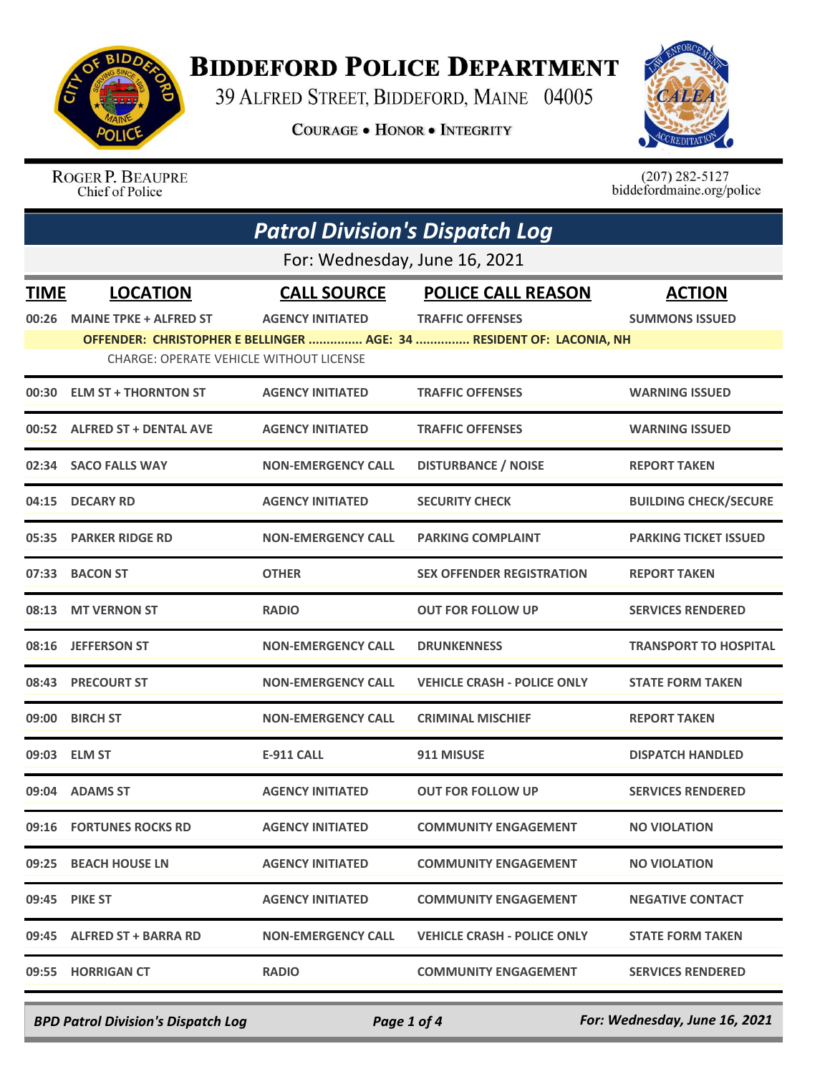

## **BIDDEFORD POLICE DEPARTMENT**

39 ALFRED STREET, BIDDEFORD, MAINE 04005

**COURAGE . HONOR . INTEGRITY** 



ROGER P. BEAUPRE Chief of Police

 $(207)$  282-5127<br>biddefordmaine.org/police

|             | <b>Patrol Division's Dispatch Log</b>          |                           |                                                                      |                              |  |
|-------------|------------------------------------------------|---------------------------|----------------------------------------------------------------------|------------------------------|--|
|             | For: Wednesday, June 16, 2021                  |                           |                                                                      |                              |  |
| <b>TIME</b> | <b>LOCATION</b>                                | <b>CALL SOURCE</b>        | <b>POLICE CALL REASON</b>                                            | <b>ACTION</b>                |  |
| 00:26       | <b>MAINE TPKE + ALFRED ST</b>                  | <b>AGENCY INITIATED</b>   | <b>TRAFFIC OFFENSES</b>                                              | <b>SUMMONS ISSUED</b>        |  |
|             | <b>CHARGE: OPERATE VEHICLE WITHOUT LICENSE</b> |                           | OFFENDER: CHRISTOPHER E BELLINGER  AGE: 34  RESIDENT OF: LACONIA, NH |                              |  |
|             |                                                |                           |                                                                      |                              |  |
| 00:30       | <b>ELM ST + THORNTON ST</b>                    | <b>AGENCY INITIATED</b>   | <b>TRAFFIC OFFENSES</b>                                              | <b>WARNING ISSUED</b>        |  |
|             | 00:52 ALFRED ST + DENTAL AVE                   | <b>AGENCY INITIATED</b>   | <b>TRAFFIC OFFENSES</b>                                              | <b>WARNING ISSUED</b>        |  |
|             | 02:34 SACO FALLS WAY                           | <b>NON-EMERGENCY CALL</b> | <b>DISTURBANCE / NOISE</b>                                           | <b>REPORT TAKEN</b>          |  |
| 04:15       | <b>DECARY RD</b>                               | <b>AGENCY INITIATED</b>   | <b>SECURITY CHECK</b>                                                | <b>BUILDING CHECK/SECURE</b> |  |
| 05:35       | <b>PARKER RIDGE RD</b>                         | <b>NON-EMERGENCY CALL</b> | <b>PARKING COMPLAINT</b>                                             | <b>PARKING TICKET ISSUED</b> |  |
|             | 07:33 BACON ST                                 | <b>OTHER</b>              | <b>SEX OFFENDER REGISTRATION</b>                                     | <b>REPORT TAKEN</b>          |  |
| 08:13       | <b>MT VERNON ST</b>                            | <b>RADIO</b>              | OUT FOR FOLLOW UP                                                    | <b>SERVICES RENDERED</b>     |  |
| 08:16       | <b>JEFFERSON ST</b>                            | <b>NON-EMERGENCY CALL</b> | <b>DRUNKENNESS</b>                                                   | <b>TRANSPORT TO HOSPITAL</b> |  |
| 08:43       | <b>PRECOURT ST</b>                             | <b>NON-EMERGENCY CALL</b> | <b>VEHICLE CRASH - POLICE ONLY</b>                                   | <b>STATE FORM TAKEN</b>      |  |
| 09:00       | <b>BIRCH ST</b>                                | <b>NON-EMERGENCY CALL</b> | <b>CRIMINAL MISCHIEF</b>                                             | <b>REPORT TAKEN</b>          |  |
|             | 09:03 ELM ST                                   | <b>E-911 CALL</b>         | 911 MISUSE                                                           | <b>DISPATCH HANDLED</b>      |  |
|             | 09:04 ADAMS ST                                 | <b>AGENCY INITIATED</b>   | <b>OUT FOR FOLLOW UP</b>                                             | <b>SERVICES RENDERED</b>     |  |
|             | 09:16 FORTUNES ROCKS RD                        | <b>AGENCY INITIATED</b>   | <b>COMMUNITY ENGAGEMENT</b>                                          | <b>NO VIOLATION</b>          |  |
|             | 09:25 BEACH HOUSE LN                           | <b>AGENCY INITIATED</b>   | <b>COMMUNITY ENGAGEMENT</b>                                          | <b>NO VIOLATION</b>          |  |
|             | 09:45 PIKE ST                                  | <b>AGENCY INITIATED</b>   | <b>COMMUNITY ENGAGEMENT</b>                                          | <b>NEGATIVE CONTACT</b>      |  |
|             | 09:45 ALFRED ST + BARRA RD                     | <b>NON-EMERGENCY CALL</b> | <b>VEHICLE CRASH - POLICE ONLY</b>                                   | <b>STATE FORM TAKEN</b>      |  |
|             | 09:55 HORRIGAN CT                              | <b>RADIO</b>              | <b>COMMUNITY ENGAGEMENT</b>                                          | <b>SERVICES RENDERED</b>     |  |

*BPD Patrol Division's Dispatch Log Page 1 of 4 For: Wednesday, June 16, 2021*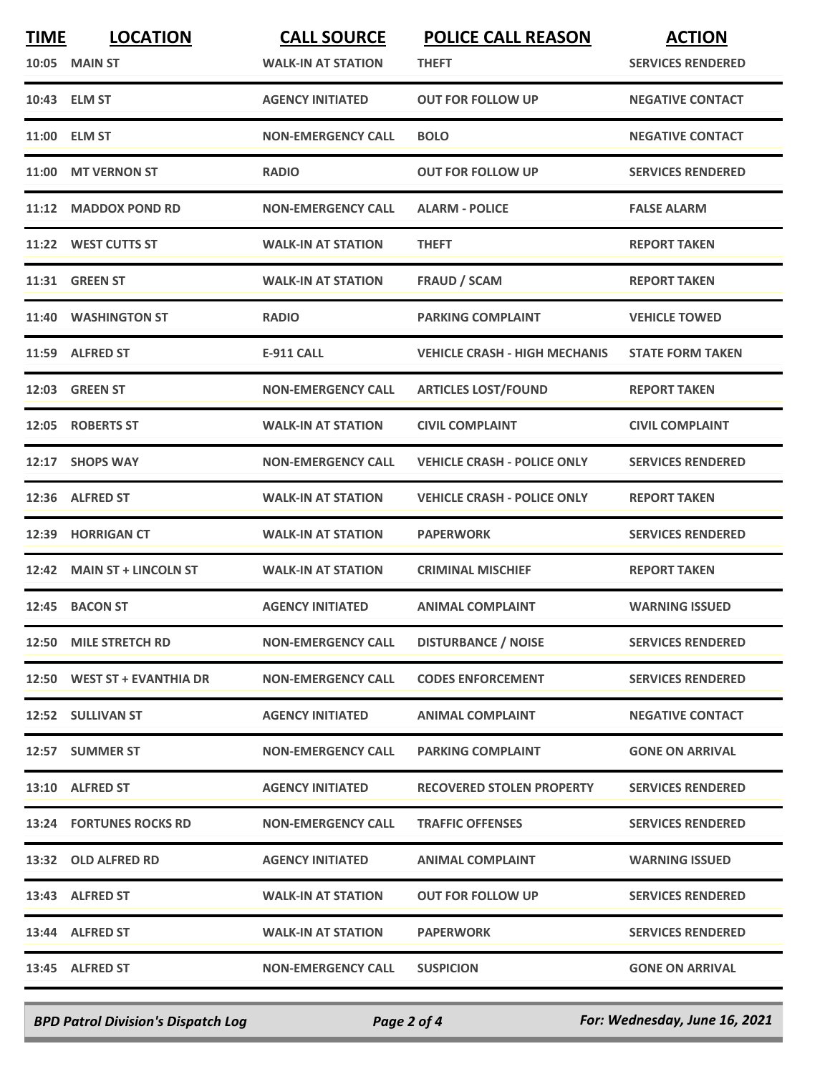| <b>TIME</b> | <b>LOCATION</b>             | <b>CALL SOURCE</b>        | <b>POLICE CALL REASON</b>            | <b>ACTION</b>            |
|-------------|-----------------------------|---------------------------|--------------------------------------|--------------------------|
| 10:05       | <b>MAIN ST</b>              | <b>WALK-IN AT STATION</b> | THEFT                                | <b>SERVICES RENDERED</b> |
|             | 10:43 ELM ST                | <b>AGENCY INITIATED</b>   | <b>OUT FOR FOLLOW UP</b>             | <b>NEGATIVE CONTACT</b>  |
|             | 11:00 ELM ST                | <b>NON-EMERGENCY CALL</b> | <b>BOLO</b>                          | <b>NEGATIVE CONTACT</b>  |
| 11:00       | <b>MT VERNON ST</b>         | <b>RADIO</b>              | <b>OUT FOR FOLLOW UP</b>             | <b>SERVICES RENDERED</b> |
| 11:12       | <b>MADDOX POND RD</b>       | <b>NON-EMERGENCY CALL</b> | <b>ALARM - POLICE</b>                | <b>FALSE ALARM</b>       |
|             | 11:22 WEST CUTTS ST         | <b>WALK-IN AT STATION</b> | <b>THEFT</b>                         | <b>REPORT TAKEN</b>      |
|             | 11:31 GREEN ST              | <b>WALK-IN AT STATION</b> | <b>FRAUD / SCAM</b>                  | <b>REPORT TAKEN</b>      |
| 11:40       | <b>WASHINGTON ST</b>        | <b>RADIO</b>              | <b>PARKING COMPLAINT</b>             | <b>VEHICLE TOWED</b>     |
| 11:59       | <b>ALFRED ST</b>            | <b>E-911 CALL</b>         | <b>VEHICLE CRASH - HIGH MECHANIS</b> | <b>STATE FORM TAKEN</b>  |
|             | <b>12:03 GREEN ST</b>       | <b>NON-EMERGENCY CALL</b> | <b>ARTICLES LOST/FOUND</b>           | <b>REPORT TAKEN</b>      |
| 12:05       | <b>ROBERTS ST</b>           | <b>WALK-IN AT STATION</b> | <b>CIVIL COMPLAINT</b>               | <b>CIVIL COMPLAINT</b>   |
| 12:17       | <b>SHOPS WAY</b>            | <b>NON-EMERGENCY CALL</b> | <b>VEHICLE CRASH - POLICE ONLY</b>   | <b>SERVICES RENDERED</b> |
| 12:36       | <b>ALFRED ST</b>            | <b>WALK-IN AT STATION</b> | <b>VEHICLE CRASH - POLICE ONLY</b>   | <b>REPORT TAKEN</b>      |
| 12:39       | <b>HORRIGAN CT</b>          | <b>WALK-IN AT STATION</b> | <b>PAPERWORK</b>                     | <b>SERVICES RENDERED</b> |
|             | 12:42 MAIN ST + LINCOLN ST  | <b>WALK-IN AT STATION</b> | <b>CRIMINAL MISCHIEF</b>             | <b>REPORT TAKEN</b>      |
| 12:45       | <b>BACON ST</b>             | <b>AGENCY INITIATED</b>   | <b>ANIMAL COMPLAINT</b>              | <b>WARNING ISSUED</b>    |
|             | 12:50 MILE STRETCH RD       | <b>NON-EMERGENCY CALL</b> | <b>DISTURBANCE / NOISE</b>           | <b>SERVICES RENDERED</b> |
|             | 12:50 WEST ST + EVANTHIA DR | <b>NON-EMERGENCY CALL</b> | <b>CODES ENFORCEMENT</b>             | <b>SERVICES RENDERED</b> |
|             | 12:52 SULLIVAN ST           | <b>AGENCY INITIATED</b>   | <b>ANIMAL COMPLAINT</b>              | <b>NEGATIVE CONTACT</b>  |
|             | 12:57 SUMMER ST             | <b>NON-EMERGENCY CALL</b> | <b>PARKING COMPLAINT</b>             | <b>GONE ON ARRIVAL</b>   |
|             | 13:10 ALFRED ST             | <b>AGENCY INITIATED</b>   | <b>RECOVERED STOLEN PROPERTY</b>     | <b>SERVICES RENDERED</b> |
|             | 13:24 FORTUNES ROCKS RD     | <b>NON-EMERGENCY CALL</b> | <b>TRAFFIC OFFENSES</b>              | <b>SERVICES RENDERED</b> |
|             | 13:32 OLD ALFRED RD         | <b>AGENCY INITIATED</b>   | ANIMAL COMPLAINT                     | <b>WARNING ISSUED</b>    |
|             | 13:43 ALFRED ST             | <b>WALK-IN AT STATION</b> | <b>OUT FOR FOLLOW UP</b>             | <b>SERVICES RENDERED</b> |
|             | 13:44 ALFRED ST             | <b>WALK-IN AT STATION</b> | <b>PAPERWORK</b>                     | <b>SERVICES RENDERED</b> |
|             | 13:45 ALFRED ST             | <b>NON-EMERGENCY CALL</b> | <b>SUSPICION</b>                     | <b>GONE ON ARRIVAL</b>   |
|             |                             |                           |                                      |                          |

*BPD Patrol Division's Dispatch Log Page 2 of 4 For: Wednesday, June 16, 2021*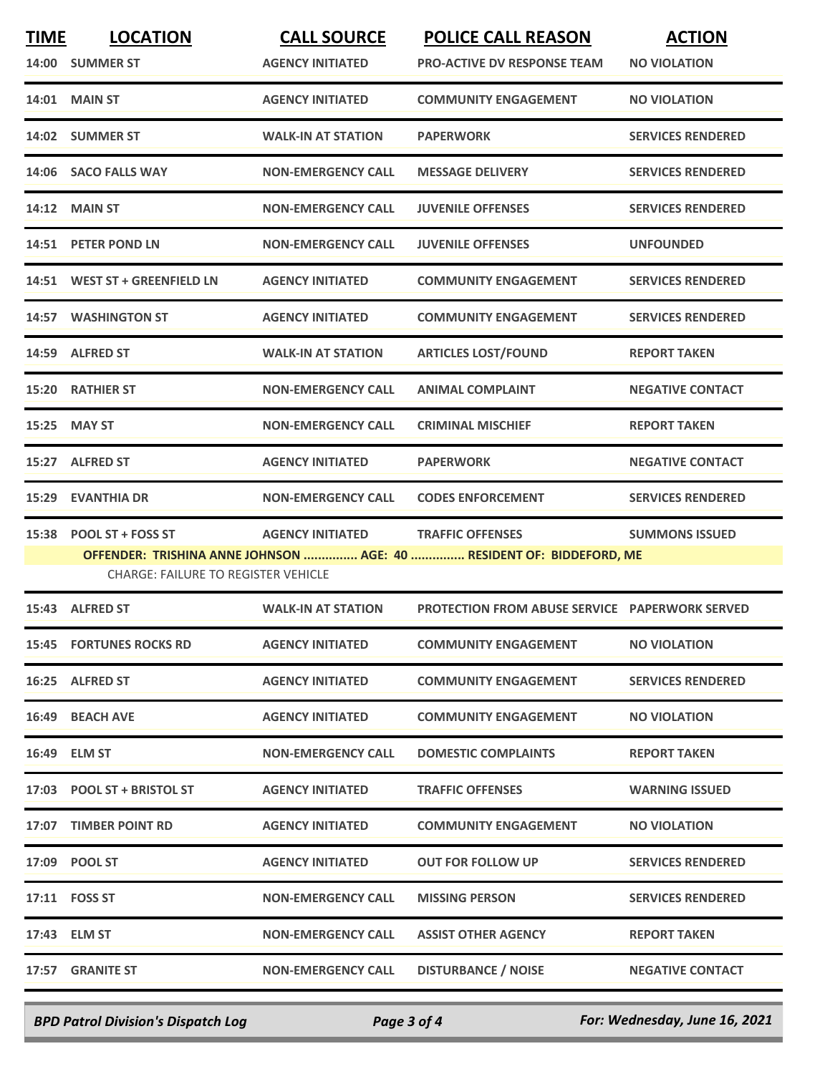| <b>TIME</b> | <b>LOCATION</b><br>14:00 SUMMER ST                                     | <b>CALL SOURCE</b><br><b>AGENCY INITIATED</b> | <b>POLICE CALL REASON</b><br><b>PRO-ACTIVE DV RESPONSE TEAM</b>                                 | <b>ACTION</b><br><b>NO VIOLATION</b> |
|-------------|------------------------------------------------------------------------|-----------------------------------------------|-------------------------------------------------------------------------------------------------|--------------------------------------|
|             | <b>14:01 MAIN ST</b>                                                   | <b>AGENCY INITIATED</b>                       | <b>COMMUNITY ENGAGEMENT</b>                                                                     | <b>NO VIOLATION</b>                  |
|             | 14:02 SUMMER ST                                                        | <b>WALK-IN AT STATION</b>                     | <b>PAPERWORK</b>                                                                                | <b>SERVICES RENDERED</b>             |
| 14:06       | <b>SACO FALLS WAY</b>                                                  | <b>NON-EMERGENCY CALL</b>                     | <b>MESSAGE DELIVERY</b>                                                                         | <b>SERVICES RENDERED</b>             |
|             | <b>14:12 MAIN ST</b>                                                   | <b>NON-EMERGENCY CALL</b>                     | <b>JUVENILE OFFENSES</b>                                                                        | <b>SERVICES RENDERED</b>             |
|             | 14:51 PETER POND LN                                                    | <b>NON-EMERGENCY CALL</b>                     | <b>JUVENILE OFFENSES</b>                                                                        | <b>UNFOUNDED</b>                     |
|             | 14:51 WEST ST + GREENFIELD LN                                          | <b>AGENCY INITIATED</b>                       | <b>COMMUNITY ENGAGEMENT</b>                                                                     | <b>SERVICES RENDERED</b>             |
|             | 14:57 WASHINGTON ST                                                    | <b>AGENCY INITIATED</b>                       | <b>COMMUNITY ENGAGEMENT</b>                                                                     | <b>SERVICES RENDERED</b>             |
| 14:59       | <b>ALFRED ST</b>                                                       | <b>WALK-IN AT STATION</b>                     | <b>ARTICLES LOST/FOUND</b>                                                                      | <b>REPORT TAKEN</b>                  |
|             | 15:20 RATHIER ST                                                       | <b>NON-EMERGENCY CALL</b>                     | <b>ANIMAL COMPLAINT</b>                                                                         | <b>NEGATIVE CONTACT</b>              |
| 15:25       | <b>MAY ST</b>                                                          | <b>NON-EMERGENCY CALL</b>                     | <b>CRIMINAL MISCHIEF</b>                                                                        | <b>REPORT TAKEN</b>                  |
| 15:27       | <b>ALFRED ST</b>                                                       | <b>AGENCY INITIATED</b>                       | <b>PAPERWORK</b>                                                                                | <b>NEGATIVE CONTACT</b>              |
| 15:29       | <b>EVANTHIA DR</b>                                                     | <b>NON-EMERGENCY CALL</b>                     | <b>CODES ENFORCEMENT</b>                                                                        | <b>SERVICES RENDERED</b>             |
| 15:38       | <b>POOL ST + FOSS ST</b><br><b>CHARGE: FAILURE TO REGISTER VEHICLE</b> | <b>AGENCY INITIATED</b>                       | <b>TRAFFIC OFFENSES</b><br>OFFENDER: TRISHINA ANNE JOHNSON  AGE: 40  RESIDENT OF: BIDDEFORD, ME | <b>SUMMONS ISSUED</b>                |
|             | 15:43 ALFRED ST                                                        | <b>WALK-IN AT STATION</b>                     | <b>PROTECTION FROM ABUSE SERVICE PAPERWORK SERVED</b>                                           |                                      |
|             | <b>15:45 FORTUNES ROCKS RD</b>                                         | <b>AGENCY INITIATED</b>                       | <b>COMMUNITY ENGAGEMENT</b>                                                                     | <b>NO VIOLATION</b>                  |
|             | 16:25 ALFRED ST                                                        | <b>AGENCY INITIATED</b>                       | <b>COMMUNITY ENGAGEMENT</b>                                                                     | <b>SERVICES RENDERED</b>             |
| 16:49       | <b>BEACH AVE</b>                                                       | <b>AGENCY INITIATED</b>                       | <b>COMMUNITY ENGAGEMENT</b>                                                                     | <b>NO VIOLATION</b>                  |
|             | 16:49 ELM ST                                                           | <b>NON-EMERGENCY CALL</b>                     | <b>DOMESTIC COMPLAINTS</b>                                                                      | <b>REPORT TAKEN</b>                  |
|             | 17:03 POOL ST + BRISTOL ST                                             | <b>AGENCY INITIATED</b>                       | <b>TRAFFIC OFFENSES</b>                                                                         | <b>WARNING ISSUED</b>                |
|             | 17:07 TIMBER POINT RD                                                  | <b>AGENCY INITIATED</b>                       | <b>COMMUNITY ENGAGEMENT</b>                                                                     | <b>NO VIOLATION</b>                  |
|             | 17:09 POOL ST                                                          | <b>AGENCY INITIATED</b>                       | <b>OUT FOR FOLLOW UP</b>                                                                        | <b>SERVICES RENDERED</b>             |
|             | 17:11 FOSS ST                                                          | <b>NON-EMERGENCY CALL</b>                     | <b>MISSING PERSON</b>                                                                           | <b>SERVICES RENDERED</b>             |
|             | 17:43 ELM ST                                                           | <b>NON-EMERGENCY CALL</b>                     | <b>ASSIST OTHER AGENCY</b>                                                                      | <b>REPORT TAKEN</b>                  |
|             | 17:57 GRANITE ST                                                       | <b>NON-EMERGENCY CALL</b>                     | <b>DISTURBANCE / NOISE</b>                                                                      | <b>NEGATIVE CONTACT</b>              |
|             |                                                                        |                                               |                                                                                                 |                                      |

*BPD Patrol Division's Dispatch Log Page 3 of 4 For: Wednesday, June 16, 2021*